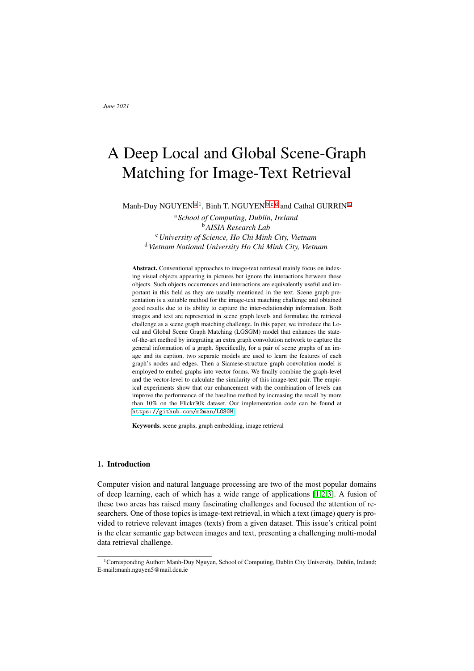# A Deep Local and Global Scene-Graph Matching for Image-Text Retrieval

<span id="page-0-2"></span><span id="page-0-1"></span><span id="page-0-0"></span>M[a](#page-0-0)nh-Duy NGUYEN<sup>a, 1</sup>, Binh T. NGUYEN<sup>[b](#page-0-1), [c](#page-0-2), [d](#page-0-3)</sup> and Cathal GURRIN<sup>a</sup>

<sup>a</sup> *School of Computing, Dublin, Ireland* <sup>b</sup>*AISIA Research Lab* <sup>c</sup>*University of Science, Ho Chi Minh City, Vietnam* <sup>d</sup>*Vietnam National University Ho Chi Minh City, Vietnam*

<span id="page-0-3"></span>Abstract. Conventional approaches to image-text retrieval mainly focus on indexing visual objects appearing in pictures but ignore the interactions between these objects. Such objects occurrences and interactions are equivalently useful and important in this field as they are usually mentioned in the text. Scene graph presentation is a suitable method for the image-text matching challenge and obtained good results due to its ability to capture the inter-relationship information. Both images and text are represented in scene graph levels and formulate the retrieval challenge as a scene graph matching challenge. In this paper, we introduce the Local and Global Scene Graph Matching (LGSGM) model that enhances the stateof-the-art method by integrating an extra graph convolution network to capture the general information of a graph. Specifically, for a pair of scene graphs of an image and its caption, two separate models are used to learn the features of each graph's nodes and edges. Then a Siamese-structure graph convolution model is employed to embed graphs into vector forms. We finally combine the graph-level and the vector-level to calculate the similarity of this image-text pair. The empirical experiments show that our enhancement with the combination of levels can improve the performance of the baseline method by increasing the recall by more than 10% on the Flickr30k dataset. Our implementation code can be found at <https://github.com/m2man/LGSGM>.

Keywords. scene graphs, graph embedding, image retrieval

# 1. Introduction

Computer vision and natural language processing are two of the most popular domains of deep learning, each of which has a wide range of applications [\[1,](#page-12-0)[2,](#page-12-1)[3\]](#page-12-2). A fusion of these two areas has raised many fascinating challenges and focused the attention of researchers. One of those topics is image-text retrieval, in which a text (image) query is provided to retrieve relevant images (texts) from a given dataset. This issue's critical point is the clear semantic gap between images and text, presenting a challenging multi-modal data retrieval challenge.

<sup>&</sup>lt;sup>1</sup>Corresponding Author: Manh-Duy Nguyen, School of Computing, Dublin City University, Dublin, Ireland; E-mail:manh.nguyen5@mail.dcu.ie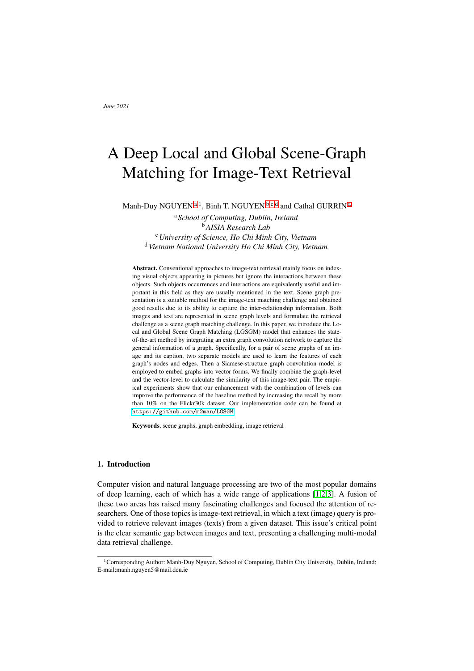Many kinds of research have focused on this challenge, and one can summarise earlier works into two types. The first type includes methods [\[4,](#page-12-3)[5,](#page-12-4)[6\]](#page-12-5) in which each image and textual description are entirely encoded as global representative vectors in the same space. It can be considered a decent solution due to its simplicity and fast retrieval. However, these approaches are only suitable for simple cases where there is only a single object in an image or a short sentence as they neglect the importance of positioning information. The proposed techniques [\[7](#page-12-6)[,8,](#page-12-7)[9\]](#page-12-8) of the second type can deal with this positioning issue. They encode images into several regions based on detected objects. Sentences are also parsed into many fields based on their chunks of words. This approach now can gain more elaborate detail for both data. Although these methods have been shown to achieve better performance than others in the first group, there are still challenges to be solved. Neither type has considered the actions occurring within the data, including the interactions between entities/objects in images and captions. Such information can offer more in-depth insights into images as well as textual queries [\[10\]](#page-12-9), therefore facilitating enhanced image-text retrieval. It should be mentioned that the global embedding methods in the first group also could learn this association information. However, it cannot be in detail since they do not focus directly on the relationship aspect. The introduction of a scene graph structure [\[10\]](#page-12-9) introduces a promising way to address this issue. Due to its capacity to capture both objects and their interactions, the design has been applied and achieved excellent results in various fields [\[11,](#page-12-10)[12,](#page-12-11)[13](#page-12-12)[,14\]](#page-12-13). A scene graph structure is a graph including nodes and edges connecting nodes together. In the image-text retrieval field, a node and an edge represent objects and the associations among objects detected in images or captions, as depicted in Figure [1](#page-1-0) where the green rectangles are nodes in the graph indicating detected objects and the orange rectangles are edges illustrating the relationships between them. Recent research [\[15](#page-12-14)[,16\]](#page-12-15) could obtain better results in this retrieval area by utilizing these relations information. Hence there is a promise when applying this useful data structure in the retrieval field.



<span id="page-1-0"></span>Figure 1. An example of scene graphs generated from an image and its caption. The green and the red indicates objects and their interactions respectively.

In this paper, we employ a state-of-the-art method that applies scene graph structure to solve the retrieval challenge [\[15\]](#page-12-14). However, we advance this baseline by introducing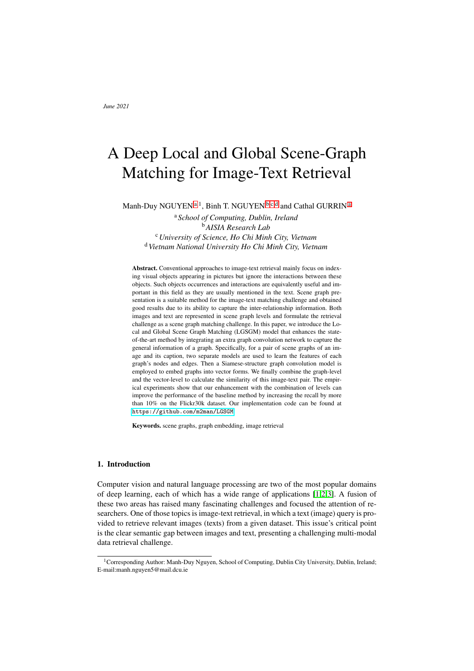an addition graph convolution network to capture a global form of a graph beside its local representation produced by the baseline. To be more specific, we firstly generate scene graph information of each image and its caption. Our proposed model can extract and learn the insightful features of nodes and edges from both graphs to obtain the local details. These scene graphs are then embedded into vectors by a Siamese graph model to represent the entire image's global information and textual content. The similarity of the two graphs now can be measured at the local and global levels. We evaluate our proposed method by measuring the recall metrics on the well-known Flickr30k [\[17\]](#page-12-16) dataset to show the effectiveness of our model.

# 2. Related Work

Many models have been introduced for the image-text retrieval problem. Some of them [\[4,](#page-12-3)[5,](#page-12-4)[6\]](#page-12-5) encode entire images and sentences into one space to facilitate the comparison, while other solutions focused on local information instead [\[7](#page-12-6)[,8,](#page-12-7)[9\]](#page-12-8). Faghri et al. [\[4\]](#page-12-3) followed a typical method to use a CNN-based image encoder to extract visual features of images and an RNN-based textual module to extract those from captions. These features then went through a fully connected layer to be projected into the same vector space to facilitate the comparison. Although it is a simple approach, it still achieves high performance by applying hard negatives triplet loss during training. With different points of view on analyzing sentences, Wang et al. [\[5\]](#page-12-4) used a Bag-of-Word technique to extract the information from semantic data. However, one could also use a CNN network to process sentences in a dual-path convolutional model [\[6\]](#page-12-5) by entirely embedding each image and sentence into a vector form using two CNN modules separately. In contrast, Huang et al. [\[7\]](#page-12-6) focused on the local information in images where semantic concepts and their ordering were extracted by learning with their corresponding sentences. The work from Wang [\[9\]](#page-12-8) raised the awareness of the relative position of detected objects within an image which could be useful when matching with the caption. Meanwhile, Lee et al. [\[8\]](#page-12-7) presented a novel cross attention mechanism that learned the importance of regions (images) and words (captions) along with their alignment.

Although achieving considerable accuracy, previous work ignored or underestimated the robust information of objects' interactions within images and sentences. Johnson and colleagues firstly introduced the scene graph for dealing with this issue for the image retrieval challenge [\[10\]](#page-12-9). In their research, a dataset of scene graphs of images was humanannotated manually. An arbitrary graph was made and used as a query to retrieve equivalent images having a similar graph. A Conditional Random Field model and a maximum posterior technique was employed to measure the similarity of graphs. Many algorithms were invented to generate scene graphs from images [\[18,](#page-12-17)[19,](#page-12-18)[20,](#page-12-19)[21\]](#page-13-0)since this structure and the dataset about it was public. By virtue of them, some studies about image-text retrieval [\[15,](#page-12-14)[16\]](#page-12-15) have followed the scene graph approach recently. Shi et al. [\[16\]](#page-12-15) created a scene concept graph based on a popular scene graph dataset [\[22\]](#page-13-1) and used it to expand the detected concepts in images to extract visual features. Cosine similarity was used to measure the similarity between these features and the semantic features produced by applying an RNN module to captions and rank them to perform the retrieval. The scene graph matching (SGM) model from Wang et al. [\[15\]](#page-12-14) takes a scene graph from both images and captions as input then extracts the graph features by using their own designed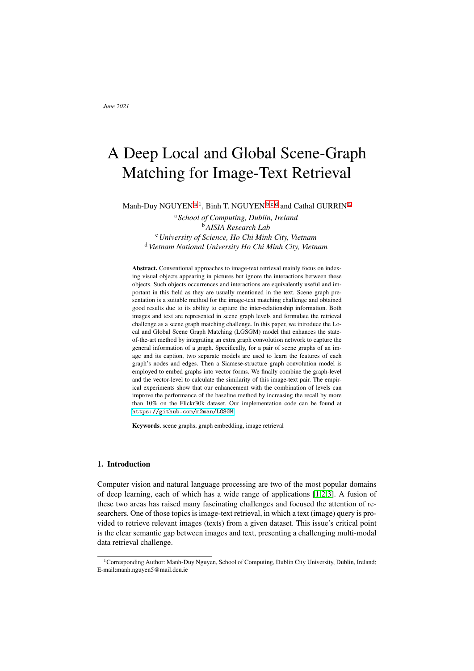encoders called visual scene graph and textual scene graph for each modality. Then, one can promptly calculate the similarity between the two graphs based on each part of the first graph's agreement with every part of the second graph. Despite getting state-of-theart results among the scene graph approaches, the SGM could still be enhanced. Firstly, its similarity calculating process only takes the small parts of a graph into account, hence neglect the overall detail. Secondly, the SGM model does not apply any normalization technique, resulting in easy overfitting. Besides, using ResNet [\[23\]](#page-13-2) as the backbone of the structure also limits the model's potential performance. There have been several recent CNN-based networks that are more accurate than the ResNet.

Recently, some researchers have applied the attention technique to both visual and textual data to learn the interaction between the components themselves, then combine with another attention module to fuse two modalities together [\[24,](#page-13-3)[25\]](#page-13-4). Chen et al. [\[24\]](#page-13-3) presented a novel structure that iteratively finds matching compartments between images and sentences and refined them progressively. Meanwhile, the multi-modality cross attention network employs the compelling Transformer [\[26\]](#page-13-5) technique on images and semantic data to get the fine-grained relationship information in detail. They both manage to get the best results so far in the domain. Nevertheless, none of them use scene graphs in their approach, which is our main focus of this research.

In this paper, we try to improve the performance of the SGM method by employing a graph convolution model to capture the overall information of a graph which can be considered as one of its weaknesses mentioned above. Our model utilizes scene graph structures for images and sentences and encodes them into vector forms for storing overall essential information to calculate the similarity between graphs instead of operating at the graph level exclusively. We name this model "Local and Global Scene Graph Matching" (LGSGM).

Our primary contributions are threefold. Firstly, the SGM measured the similarity between graphs by dividing them into sub-graphs, hence diminishing the overall detail of a graph. We overcome this problem by building a graph embedding module to summarise all information of a graph into a vector form and combine it with the graphical form to calculate the similarity of a pair of graphs. Secondly, the efficient network [\[27\]](#page-13-6) is applied to extract the visual features of detected objects in images instead of using conventional Residual structure [\[23\]](#page-13-2) in the SGM model as the former network is shown to be more accurate although having a simpler design. Moreover, we also integrate normalization techniques including Dropout and Batch normalization to mitigate the potential of overfitting. Thirdly, we run an evaluation on the Flickr30k dataset for the image-text matching problem to facilitate a comparison with the SGM model [\[15\]](#page-12-14) as the baseline, which also uses scene graphs to support retrieval. We choose the SGM model as the baseline due to its state-of-the-art result in this field for models that employ scene graphs in the structure.

## 3. Methodology

This section will describe how our LGSGM model approaches the retrieval challenge as a graph similarity ranking problem which is inspired by the SGM. Figure [2](#page-4-0) depicts the workflow of LGSGM that integrates an extra graph embedding stage to the SGM baseline. Initially, our preprocessing data stage starts with the scene graph construction.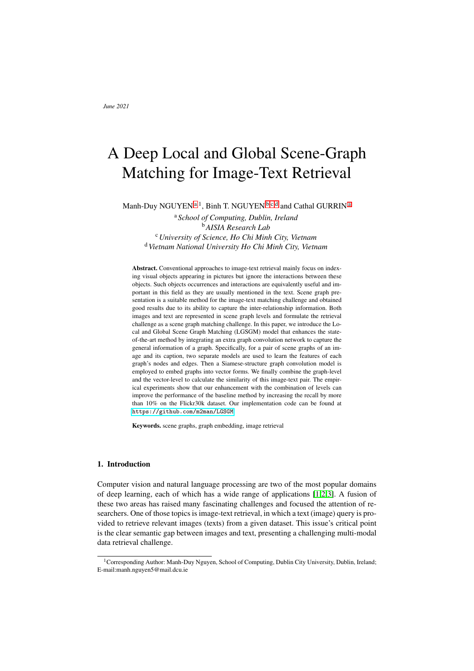The graphs of all images and texts are extracted beforehand and stored in the database. A generated scene graph of a query, which can be an image or a sentence, then goes through a graph encoder module to get a graph feature. Meanwhile, each sample in the remaining modality database also follows the same scheme but separately. All feature graphs now are passed through a Siamese-structured [\[28\]](#page-13-7) graph embedding layer to learn the summarised attributes of them, and the vector-level features of those graphs are obtained. The similarity of a pair of graphs, which is a query graph and a sample graph in the database, now can be calculated based on the feature graphs and their embedded vectors representing local and global information accordingly. Finally, these scores are ranked descending to find the most relevant answers from the database.



<span id="page-4-0"></span>Figure 2. Our proposed LGSGM pipeline follows the SGM baseline. Scene graphs of an image and a query are firstly extracted at the preprocessing stage. Both graphs are encoded by different graph encoders and embedded into vector-level forms by a share graph embedding network to get to local and global features, which will be used to calculate the similarity between them.

## *3.1. Visual Graph Encoder*

A scene graph of an image can be established beforehand by using any available scene graph generation method. The graph *G* after extracted can be seen as a tuple  $G = (O, B, R)$ where:

- $O = f_{O_1},..., o_{N_o} g$  is the set of  $N_o$  semantic labels of detected objects appearing the image.
- $B = f b_{o_1},..., b_{o_{N_o}} / b_{o_i} \supseteq R^4 g$  is the set of bounding boxes where  $b_{o_i}$  is the coordinate of the box of the corresponding object  $o_i$  in the set  $O$ .
- $R = fr_1, ..., r_{N_r}g$  is the set of  $N_r$  predicted relations between objects in the image. Each  $r_m$  is a tuple of  $(o_i, p_{ij}, o_j)$  where  $p_{ij}$  is the label of the association between two objects  $o_i$  and  $o_j$ . It is noted that  $R$  can be seen as the set of edges connecting nodes, which are objects in *O*, of the scene graph *G*.

As shown in Figure [3,](#page-5-0) after the graph is constructed, we embed the label of the nodes and edges into vectors with the help of trainable word embedding layers to gain their semantic information. Besides, there is also rich information from images themselves. We extract an image feature for each object in *O* based on its associated bounding box in *B*. Regarding an edge  $p_{ij}$ , its image feature can be computed through the union regions of two boxes  $b_{o_i}$  and  $b_{o_j}$ . These regions are fed into a CNN-based model, which is the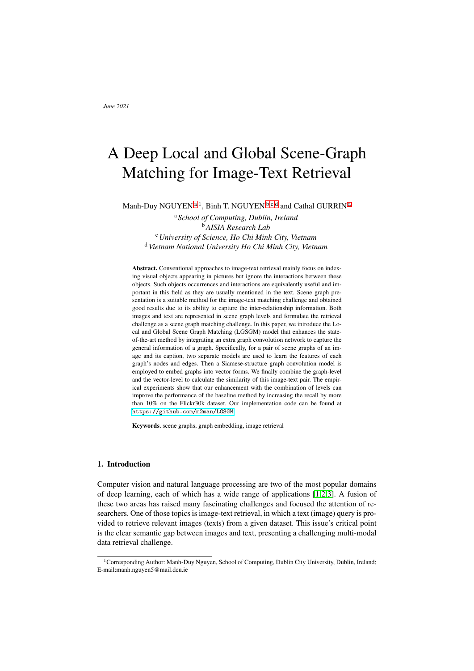EfficientNet [\[27\]](#page-13-6) in our setting, to get the image features. The feature of one node or an edge now is the fusion of its image feature and semantic features. We update these features to learn the connection between nodes and edges features by using a convolutional graph neural network [\[29\]](#page-13-8) to get the final visual feature graph. The graph is finally fed to the Siamese graph embedding model to get its global representation.



<span id="page-5-0"></span>Figure 3. The workflow of an image in our LGSGM model.

Word Embedding. We exploit the information of semantic labels by embedding names of objects and relations in *O* and *R* into vectors with two distinct embedding layers for each. Each object label  $o_i$  and predicate label  $p_i$  is transformed into one-hot vector  $I_{o_i}$  and  $I_{p_{ij}}$ . Their embedding vectors,  $e_{o_i}$  and  $e_{p_{ij}}$ , can be calculated as

$$
e_{o_i} = W_o I_{o_i}, W_o \supseteq \mathbb{R}^{d_W \quad C_o} \tag{1}
$$

$$
e_{p_{ij}} = W_p I_{p_{ij}} , W_p \supseteq \mathbb{R}^{d_W} \quad c_p \tag{2}
$$

where  $W_o$  and  $W_p$  are the trainable parameters in the layer,  $C_o$  and  $C_p$  is the number of categories of objects and relations supported in the scene graph generation method. We set  $d_W = 300$  and utilise the pretrained embedding Glove model to initialise  $W_o$  and  $W_p$ .

**Image Features.** An image feature  $v_{o_i}$  of an object  $o_i$  can be obtained by applying a pretrained CNN-based network to the cropped region  $b_{o_i}$  around the object. Similarly, the cropped region for an edge  $p_{ij}$ , which is the area covering both  $b_{o_i}$  and  $b_{o_j}$  regions, also be used to extract its  $d_I$ -dimension image feature  $v_{ij}$ .

Fused Features. A simple trainable, fully connected neural network is applied to the semantic feature's concatenated vector and the image feature to get the fused feature that can combine both modality detail. The fused representation of a node and an edge is achieved as followed:

<span id="page-5-1"></span>
$$
u_{o_i} = f_{act}(W_u[v_{o_i}, e_{o_i}])
$$
\n<sup>(3)</sup>

<span id="page-5-2"></span>
$$
u_{ij} = f_{act}(W_u[v_{ij}, e_{ij}]), \qquad (4)
$$

where [.] is the concatenating operation,  $f_{act}$  is an activation function, and  $W_u$  2  $R^{d_F}$  ( $d_I + d_W$ ) is the trainable parameters.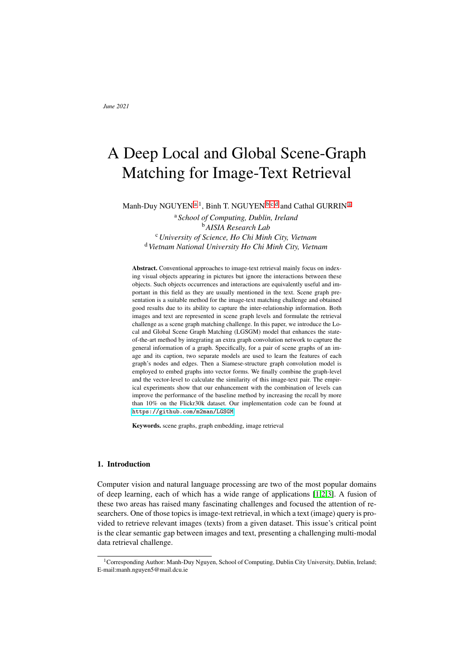Graph Network. We use a Convolutional Graph Network (GCN) to learn the connection and update the fused features of nodes  $(u_{o_i})$  and edges  $(u_{ij})$  of the graph. The GCN works similarly to a normal CNN operation but more flexible to many types of graph-structured data than only the grid data of a conventional CNN. In this GCN model, the features of a node are only updated based on itself solely to mitigate noise effects from surrounding nodes [\[15\]](#page-12-14). In contrast, because an edge bridges two nodes together, its features should be related to those nodes' features to learn the association between them. Regarding an n-layer GCN model, updated features of a node and an edge at the *l th* layer can be formulated as follows:

<span id="page-6-1"></span>
$$
h_{o_i}^l = \text{MLP}_o(h_{o_i}^{l-1})
$$
\n<sup>(5)</sup>

<span id="page-6-2"></span>
$$
h_{p_{ij}}^l = \text{MLP}_p([h_{o_i}^{l-1}, h_{p_{ij}}^{l-1}, h_{o_j}^{l-1}]),
$$
\n(6)

where  $MLP_o$  and  $MLP_p$  are two separate neural network models, and  $h_{o_i}^0 = u_{o_i}$  and  $h_{p_{ij}}^0 =$  $u_{ij}$ . The final output of the visual feature graph is the updated features of nodes and edges which are denoted as  $h_{o_i}$  and  $h_{p_{ij}}$ .

# *3.2. Textual Graph Encoder*



<span id="page-6-0"></span>Figure 4. The workflow of a sentence in our LGSGM model. The *N* and *M* in the figure indicate the number of words and number of relations in the sentence.

Similarly, a sentence also follows the same process of images. Figure [4](#page-6-0) illustrates the process of getting local and global features of the sentence. Firstly, the description is converted into a scene graph to describe the relationships in detail. These triplet information, such as *"man-wears-hat"*, can be obtained by using SPICE technique [\[13\]](#page-12-12). However, relying on the graph only will ignore other important clues in the sentence. Therefore two different modules are used to extract the data from both pathways. Initially, every word in the sentence can be encoded by a word embedding module similar to that in the visual feature graph. Two distinct LSTM models [\[30\]](#page-13-9) are then employed to learn the features of each word in the sentence as well as the features of each extracted relation triplet. We expand the SGM model by introducing an additional GCN to the graph created from the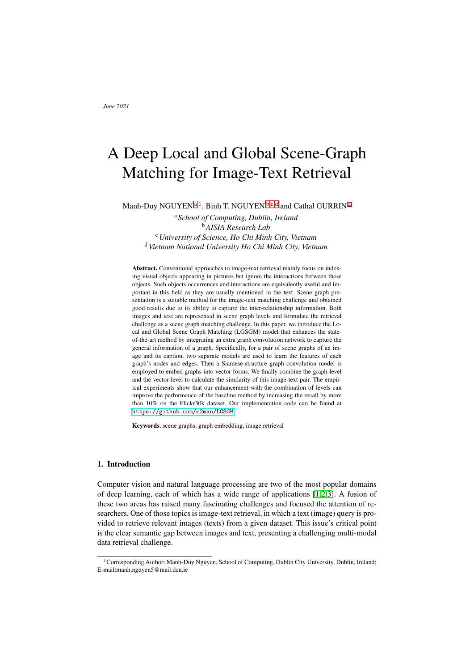triplets. This graph is used to summarise information of all relations in the sentence and compared to that of visual modality afterward.

Word Embedding. It is worth noting that there are a massive number of vocabularies in a real-world deployment. Hence, it is not suitable for the word embedding part to learn all words in the entire semantic modality database as an overfitting issue will occur in the test condition. We create the dictionary from the textual database (excluding the test set) and only learn some popular words. We replace the least common ones, whose appearance frequency less than 4, with the *"unknown"* word, which is considered a popular vocabulary. During the test phase, words not included in the dictionary are converted to *"unknown"*.

Word Features. After the embedding stage, the entire sentence goes to the bidirectional LSTM hierarchy to get the features from both forwards and backward ways. Then the representation of a word  $w_i$  in the sentence, denoted as  $h_{w_i}$ , is the average of two paths and computed as follows:

$$
h_{w_i} = \frac{\text{LSTM}_{w}(e_{w_i}, h_{w_{i-1}}^{\prime}) + \text{LSTM}_{w}(e_{w_i}, h_{w_{i+1}})}{2}, \tag{7}
$$

where LSTM<sub>*w*</sub> is the bi-LSTM model,  $e_{w_i}$  is the word embedding vector whilst  $h_{w_i}$ <sup>*l*</sup> 1 and  $h_{w_{i+1}}$  are the hidden states of the word  $w_i$  from forward and backward directions.

**Graph Network**. We organise the set of relations of a caption as  $T = \hat{\tau}_{1},...,\hat{\tau}_{N_{t}}$ with  $N_t$  is the total number of relations in the sentence parsed by SPICE. Each triplet  $t_m$ is a sequence of words  $(w_i, w_{ij}, w_j)$  where the word  $w_{ij}$  is the association between two objects  $w_i$  and  $w_j$  such as ("man", "wears", "hat"). We use another bidirectional LSTM structure, named LSTM<sub>t</sub>, and share it among all triplet  $t_i$  for  $i \geq [1, N_t]$ . The feature of a word in a triplet is the hidden state itself while the feature of entire triplet is the last state of the sequence model. Specifically, they are calculated as:

$$
h_{t_k}^{w_n} = \frac{\text{LSTM}_t(e_{t_k}^{w_n}, h_{t_k}^{w_n^{f-1}}) + \text{LSTM}_t(e_{t_k}^{w_n}, h_{t_k}^{w_{n+1}})}{2},
$$
(8)

$$
h_{t_k} = \frac{h_{t_k}^{l_{w_i}} + h_{t_k}^{w_j}}{2},
$$
\n(9)

where triplet  $t_k$  is a sequence of words started with  $w_i$  and ended with  $w_j$ ,  $e_{t_k}^{w_n}$  is the word embedding vector of  $w_n$  in  $t_k$ . An extra GCN model having a similar structure with that in visual modality (Eq. [5](#page-6-1) and Eq. [6\)](#page-6-2) is then applied to the graph formed by the set *T*. Particularly, the graph will have  $h_{t_k}^{w_n}$  as feature of nodes and  $h_{t_k}^{w_i}$  $t_k^{w_{ij}}$  for edges which are all go through two neural networks to get the graph-level features of nodes and edges which are denoted as  $hg_{t_k}^{w_n}$  and  $hg_{t_k}^{w_{tj}}$ .

## *3.3. Graph Embedding*

After feature graphs of both modalities are extracted, we embed them into vector forms using an attention mechanism called multi-scale node attention [\[31\]](#page-13-10). Given a graph *G*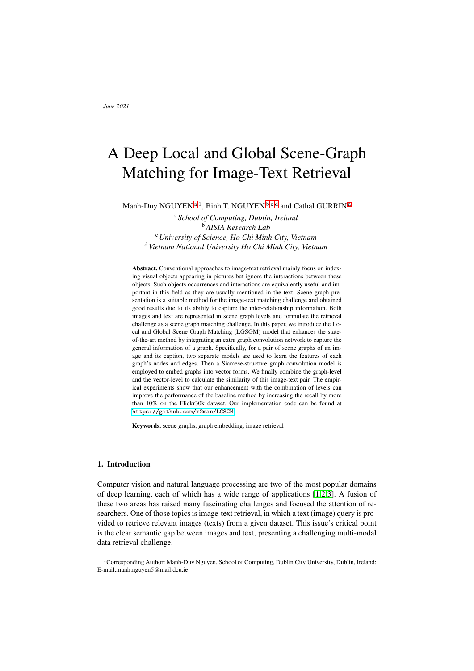having *N* nodes  $fh_1, ..., h_Ng$  and *M* edges  $fr_1, ..., r_Mg$  where  $h_i$  and  $r_j \n\geq \mathbb{R}^d$  is a feature of a node and an edge accordingly, the embedded vector of *G*, noted as  $a_G \geq \mathbb{R}^{2d}$ , is obtained by the following formula:

$$
a_G^h = \sum_{n=1}^N \sigma(h_n^{\mathrm{T}} \mathrm{ReLU}(W_h(\frac{1}{N} \sum_{m=1}^N h_m)))h_n,
$$
\n(10)

$$
a_G^r = \sum_{n=1}^M \sigma(r_n^{\text{T}} \text{ReLU}(W_r(\frac{1}{M} \sum_{m=1}^M r_m))) r_n,
$$
\n(11)

$$
a_G = [a_G^h, a_G^r]
$$
\n<sup>(12)</sup>

where  $\sigma$  and ReLU indicate the sigmoid and rectified linear unit activate function,  $W_h$ and  $W_r \supset R^{d-d}$  is the training parameter in the model, subscript T denotes the transpose operation, and [.] is the concatenation. We share this attention structure to the visual feature graph and textual feature graph as a siamese-model to get their vector-level representation  $a_V$  and  $a_T$  respectively. It is noted that the node features and edge features of a visual graph are  $h_{o_i}$  and  $h_{p_{ij}}$  while those of textual graph are  $h g_{t_k}^{w_n}$  and  $h g_{t_k}^{w_{ij}}$ .

# *3.4. Similarity Function*

The similarity between two scene graphs is measured using both local and global approaches. In the local form, each part of a graph is compared to every part of other graphs; for instance, matching on each node-level feature and on each edge-level feature. Regarding the global approach, the embedding vectors of the entire two graphs are used. This similarity score can be used to rank the retrieved result as higher means more relevant answers.

Local similarity. The local score is the sum of a node score and an edge score. The former score is the average of the matching scores of all words in a sentence with their most relevant object detected in an image. The relevant score of a word  $w_i$  in the caption with an object in the image  $o_k$  is their dot product  $h_{w_i}^T h_{o_k}$ . Assuming there are  $N_w$  words in the caption and  $N<sub>o</sub>$  objects in the image, the node score is calculated as:

$$
S_{Node} = \frac{1}{N_w} \left( \sum_{i=1}^{N_w} \max_{k \geq [1, N_o]} h_{w_i}^{\mathrm{T}} h_{o_k} \right)
$$
(13)

Similarly, the edge score is the mean score between relations in the textual data with their most matching edge in the visual graph and is formulated as:

$$
S_{Rel} = \frac{1}{N_t} \left( \sum_{i=1}^{N_t} \max_{p_{ij}} h_{t_i}^T h_{p_{ij}} \right)
$$
(14)

The local similarity then can be obtained as follows:

$$
S_{Local} = S_{Node} + S_{Rel} \tag{15}
$$

Global similarity. The global vectors provide the overall information of graphs. We use conventional cosine distance to measure the degree of matching between two entire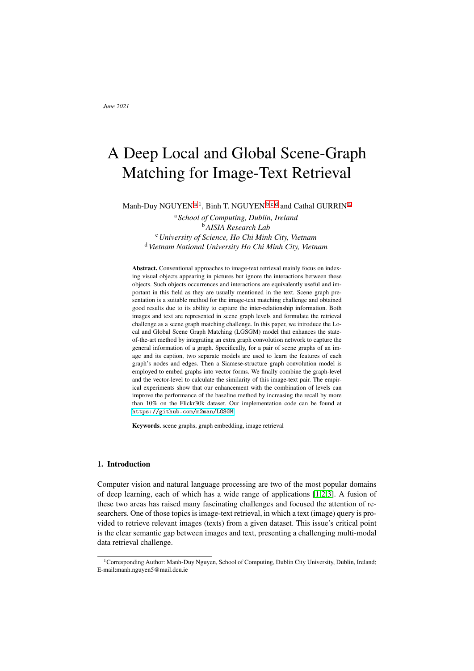graphs. Specifically, the similarity score, *SGlobal*, of two embedding vectors of visual graph  $a_V$  and textual graph  $a_T$  is:

$$
S_{Global} = \frac{a_V^{\mathrm{T}} a_T}{k a_V k k a_T k} \tag{16}
$$

Finally, the similarity between two graphs takes both local and global details into account, hence is calculated by the sum of them, which is

$$
S = S_{Local} + S_{Global}
$$
 (17)

This bi-level similarity score is also used in the loss function during the training phase where we apply the hardest negative triplet loss as in [\[4,](#page-12-3)[15\]](#page-12-14). The loss function is:

<span id="page-9-0"></span>
$$
L(k,l) = \max(0, m \quad S_{kl} + S_{k\hat{l}}) + \max(0, m \quad S_{kl} + S_{\hat{k}l}),
$$
 (18)

where *m* is a margin hyperparameter,  $S_{kl}$  is the similarity score of a true pair of image *k* and its caption *l*, and  $\hat{k}$ ,  $\hat{l}$  is the least matching image and sentence with *l* and *k* in the mini-batch, respectively.

# 4. Dataset and Metrics

We evaluate our proposed model on the Flickr30k dataset [\[17\]](#page-12-16), which is one of the most popular datasets in this image-text matching field due to its high quality of textual annotation compared to others [\[32\]](#page-13-11). The dataset consists of 31,783 images, and each of them has five corresponding captions. An example of image-sentence pairs and their generated scene graph can be illustrated in Figure [1.](#page-1-0) We split the Flickr30k data into training, validating, and testing sets, so that the number of the training images is 29,783, whilst the two latter subsets both have 1,000 images.

The evaluation metric we choose is a common Recall at  $K(R@K)$  value that has been used in many kinds of research [\[15,](#page-12-14)[9](#page-12-8)[,24](#page-13-3)[,25\]](#page-13-4). The R@K is the proportion of queries that we find their correct matching answers in the top K of the ranking result. In our experiments, we evaluate three values of K, which are 1, 5, and 10.

## 5. Experiments and Results

In this section, we run our proposed model on the Flickr30k dataset then compare the baseline that is chosen as the SGM model as both our LGSGM and the SGM have a similar scene graph approach.

# *5.1. Model Setting*

At the scene graph generation stage, we use Neural Motifs [\[19\]](#page-12-18) to get the similar graphs as described in [\[15\]](#page-12-14). We only keep the top  $N<sub>o</sub> = 36$  detected objects and  $N<sub>r</sub> = 25$  predicates in the result sorted by their confidence scores for each scene graph. Regarding visual features of objects, we employ the EfficientNet, which is considered to be more ac-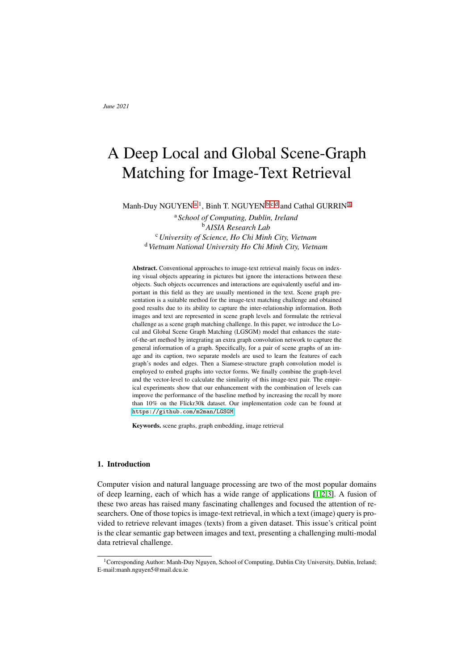curate in the image classification challenge, although fewer parameters [\[27\]](#page-13-6) than ResNet [\[23\]](#page-13-2) as used in the baseline. The region surrounding the object is firstly cropped based on its bounding box and resized to the desired format, then goes through the net, which is excluded from the classification layer, to get the feature. We set  $d_I = d_F = 2048$  and choose the EfficientNet-b5 model pretrained on ImageNet to get the 2048-dim feature vectors as comparable with the baseline. The number of layers in GCN models for both modalities and the LSTM models is 1. The dimension of the output vector from GCN is configured to be  $d = 1024$ , which is also the size of the hidden state of LSTM models. We also apply Dropout and Batch-normalisation to avoid the potential overfitting in both hierarchies. We use Swish [\[33\]](#page-13-12) as an activate function when creating fused features (Eq. [3](#page-5-1) and Eq. [4\)](#page-5-2) and in GCN models. We also tried other activation functions (such as ReLU, Leaky ReLU, or Tanh), but Swish has the best performance among these functions. The margin  $m$  in the loss function (Eq. [18\)](#page-9-0) is selected as 0.35. We train the model with the batch size of 128 at the learning rate of 0.0003 with Adam optimizer.

# *5.2. Comparison with Baseline and other Methods*

Although our primary focus is to compare with the baseline SGM, we also show the result of other state-of-the-art techniques to provide a comprehensive perspective on the performance of our proposed approach. Besides the SGM, other competing models are:

- PFAN [\[9\]](#page-12-8) which uses the position focused attention network to extract the features of the location of objects in images.
- IMRAM [\[24\]](#page-13-3) with the attention mechanism to learn the matching fragments between images and sentences.
- MMCA [\[25\]](#page-13-4) applying attention and transformer compartment to exploit the relationship between objects in images and words in texts within themselves.
- GSMN [\[34\]](#page-13-13) that is also a graph-based approach but connects all detected objects within an image to create a graph then compares to that of a text.

The LGSGM and others' results on Flickr30k can be depicted in Table [1.](#page-10-0) The value in bold is the highest number in that metric. Caption retrieval indicates that a model needs to find texts that are relevant to a query image. On the contrary, image retrieval is used when a query is a sentence. It is important to note that other models' metrics are taken from their original report since we use the same subset for training, validating, and testing.

| <b>Methods</b>    | <b>Caption retrieval</b> |      |      |         | Image retrieval |      |      |       |
|-------------------|--------------------------|------|------|---------|-----------------|------|------|-------|
|                   | R@1                      | R@5  | R@10 | $R-Sum$ | R@1             | R@5  | R@10 | R-Sum |
| <b>PFAN [9]</b>   | 70                       | 91.8 | 95.0 | 256.8   | 50.4            | 78.7 | 86.1 | 215.2 |
| <b>IMRAM</b> [24] | 74.1                     | 93.0 | 96.6 | 263.7   | 53.9            | 79.4 | 87.2 | 220.5 |
| <b>MMCA</b> [25]  | 74.2                     | 92.8 | 96.4 | 263.4   | 54.8            | 81.4 | 87.8 | 224.0 |
| <b>GSMN [34]</b>  | 76.4                     | 94.3 | 97.3 | 268.0   | 57.4            | 82.3 | 89.0 | 228.7 |
| <b>SGM [15]</b>   | 71.8                     | 91.7 | 95.5 | 259.0   | 53.5            | 79.6 | 86.5 | 219.6 |
| LGSGM (Ours)      | 71                       | 91.9 | 96.1 | 259.0   | 57.4            | 84.1 | 90.2 | 231.7 |

<span id="page-10-0"></span>Table 1. Performance of models on Flickr30k Dataset. R-Sum is the sum of all recall metrics.

It is easier for all models to find captions when an image is given as a query than the reversed retrieving because the caption retrieval section's scores are higher than those in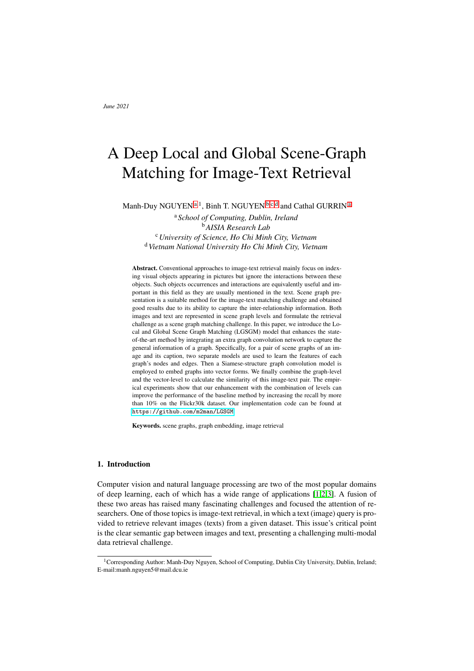image retrieval. Regarding the caption retrieval, the GSMN using an ensemble setting performs best among all models, where the differences in the R-Sum can be up to more than 10%. This model is more accurate than ours with 3% on average of recall. Both attention-based techniques, IMRAM and MMCA, share similar results as there is no significant gap in all recall metrics. It is also true for SGM and LGSGM models. Although we obtain higher scores at R@5 and R@10 with a margin less than 0.5%, the SGM model has a slightly better R@1 metric than ours, which are 71.8% and 71%, respectively. The PFAN model performs worst with the lowest R@1 and R@10. However, our LGSGM achieves the highest scores on all three recall metrics in the image retrieval field, which are 57.4%, 84.1%, and 90.2% accordingly. It makes the proposed method have the best R-Sum of 231.7% in this text-to-image retrieval, which is 3% higher than the GSMN in the second place. In specific, our R@5 and R@10 are better than that of GSMN roughly by 1.8% and 1.2% respectively. Compared with the SGM, our improvement creates a huge increase of 12.1% in total recall. The PFAN is still the model with the lowest recall, while the R-Sum of MMCA is 4.5% higher than IMRAM.

In general, the proposed LGSGM surpasses the SGM model by a large margin, which is also our main contribution. Our model and GSMN, which is also a graph-based method, are the top-2 methods in the experiment, showing the usefulness of the graph structure in this field. Nevertheless, GSMN achieves higher recall than ours with 496.7% compared to 490.7% of our model in the total of all recall values in both types of retrieval. It might be due to its dense graph structure where this model connects all of the objects in an image while the scene graph structure only captures some detected relations between them. Although the attention approaches are better than our scene graph model in the image-to-text retrieval, our network still manages to get the highest score on the remaining experiment. Moreover, LGSGM manages to score better than those models concerning the sum of recall of both image retrieval and caption retrieval experiments. With our state-of-the-art result in the text-to-image retrieval section, it opens a wide range of applications of our structure in the field of finding images that are relevant to the given description. For instance, one potential application is in lifelogging retrieval, where a graph-based method has shown its promising performance [\[14\]](#page-12-13).

# 6. Conclusion

In this research, we address an issue that remained in the state-of-the-art scene graph matching model in which the global detail of graphs is ignored during the graph encoding phrase. We propose a graph embedding module that can address that concern by summarising the overall information of a graph into a vector form. Our LGSGM method, therefore, can measure the similarity between images and captions based on their input scene graphs with both local and global views. Using a lighter and more accurate EfficientNet to extract features combining with normalizing techniques to mitigate the overfitting problem, our model can surpass the baseline and achieve the new state-of-the-art results for those using scene graph as input in image-text retrieval challenge.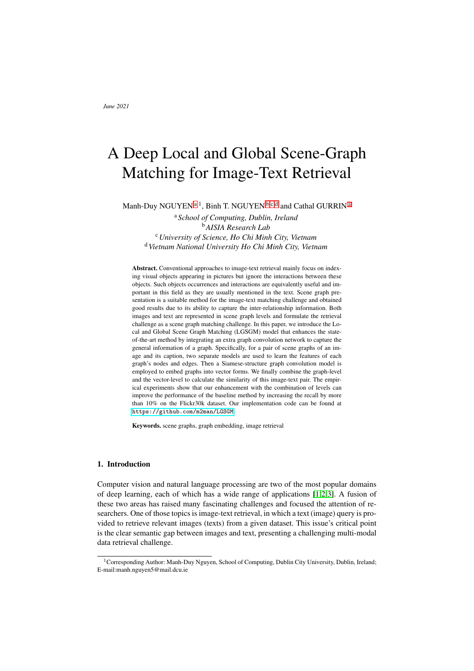# 7. Acknowledgments

This publication has emanated from research supported in party by research grants from Science Foundation Ireland under grant numbers SFI/12/RC/2289, SFI/13/RC/2106, and 18/CRT/6223.

# References

- <span id="page-12-0"></span>[1] Duy NHM, Duy NM, Truong MTN, Bao PT, Binh NT. Accurate brain extraction using Active Shape Model and Convolutional Neural Networks. arXiv preprint arXiv:180201268. 2018.
- <span id="page-12-1"></span>[2] Shih ML, Su SY, Kopf J, Huang JB. 3D Photography using Context-aware Layered Depth Inpainting. In: IEEE Conference on Computer Vision and Pattern Recognition (CVPR); 2020. .
- <span id="page-12-2"></span>[3] Johnson M, Schuster M, Le QV, Krikun M, Wu Y, Chen Z, et al. Google's multilingual neural machine translation system: Enabling zero-shot translation. Transactions of the Association for Computational Linguistics. 2017;5:339–351.
- <span id="page-12-3"></span>[4] Faghri F, Fleet DJ, Kiros JR, Fidler S. Vse++: Improving visual-semantic embeddings with hard negatives. arXiv preprint arXiv:170705612. 2017.
- <span id="page-12-4"></span>[5] Wang B, Yang Y, Xu X, Hanjalic A, Shen HT. Adversarial cross-modal retrieval. In: Proceedings of the 25th ACM international conference on Multimedia; 2017. p. 154–162.
- <span id="page-12-5"></span>[6] Zheng Z, Zheng L, Garrett M, Yang Y, Xu M, Shen YD. Dual-path convolutional image-text embeddings with instance loss. ACM Transactions on Multimedia Computing, Communications, and Applications (TOMM). 2020;16(2):1–23.
- <span id="page-12-6"></span>[7] Huang Y, Wu Q, Song C, Wang L. Learning semantic concepts and order for image and sentence matching. In: Proceedings of the IEEE Conference on Computer Vision and Pattern Recognition; 2018. p. 6163–6171.
- <span id="page-12-7"></span>[8] Lee KH, Chen X, Hua G, Hu H, He X. Stacked cross attention for image-text matching. In: Proceedings of the European Conference on Computer Vision (ECCV); 2018. p. 201–216.
- <span id="page-12-8"></span>[9] Wang Y, Yang H, Qian X, Ma L, Lu J, Li B, et al. Position focused attention network for image-text matching. arXiv preprint arXiv:190709748. 2019.
- <span id="page-12-9"></span>[10] Johnson J, Krishna R, Stark M, Li LJ, Shamma D, Bernstein M, et al. Image retrieval using scene graphs. In: Proceedings of the IEEE conference on computer vision and pattern recognition; 2015. p. 3668–3678.
- <span id="page-12-10"></span>[11] Johnson J, Gupta A, Fei-Fei L. Image generation from scene graphs. In: Proceedings of the IEEE conference on computer vision and pattern recognition; 2018. p. 1219–1228.
- <span id="page-12-11"></span>[12] Xu N, Liu AA, Liu J, Nie W, Su Y. Scene graph captioner: Image captioning based on structural visual representation. Journal of Visual Communication and Image Representation. 2019;58:477–485.
- <span id="page-12-12"></span>[13] Anderson P, Fernando B, Johnson M, Gould S. Spice: Semantic propositional image caption evaluation. In: European conference on computer vision. Springer; 2016. p. 382–398.
- <span id="page-12-13"></span>[14] Nguyen MD, Nguyen BT, Gurrin C. Graph-Based Indexing and Retrieval of Lifelog Data. In: International Conference on Multimedia Modeling. Springer; 2021. p. 256–267.
- <span id="page-12-14"></span>[15] Wang S, Wang R, Yao Z, Shan S, Chen X. Cross-modal scene graph matching for relationship-aware image-text retrieval. In: Proceedings of the IEEE/CVF Winter Conference on Applications of Computer Vision; 2020. p. 1508–1517.
- <span id="page-12-15"></span>[16] Shi B, Ji L, Lu P, Niu Z, Duan N. Knowledge Aware Semantic Concept Expansion for Image-Text Matching. In: IJCAI. vol. 1; 2019. p. 2.
- <span id="page-12-16"></span>[17] Young P, Lai A, Hodosh M, Hockenmaier J. From image descriptions to visual denotations: New similarity metrics for semantic inference over event descriptions. Transactions of the Association for Computational Linguistics. 2014;2:67–78.
- <span id="page-12-17"></span>[18] Yang J, Lu J, Lee S, Batra D, Parikh D. Graph r-cnn for scene graph generation. In: Proceedings of the European conference on computer vision (ECCV); 2018. p. 670–685.
- <span id="page-12-18"></span>[19] Zellers R, Yatskar M, Thomson S, Choi Y. Neural motifs: Scene graph parsing with global context. In: Proceedings of the IEEE Conference on Computer Vision and Pattern Recognition; 2018. p. 5831–5840.
- <span id="page-12-19"></span>[20] Tang K, Zhang H, Wu B, Luo W, Liu W. Learning to compose dynamic tree structures for visual contexts. In: Proceedings of the IEEE Conference on Computer Vision and Pattern Recognition; 2019. p. 6619–6628.